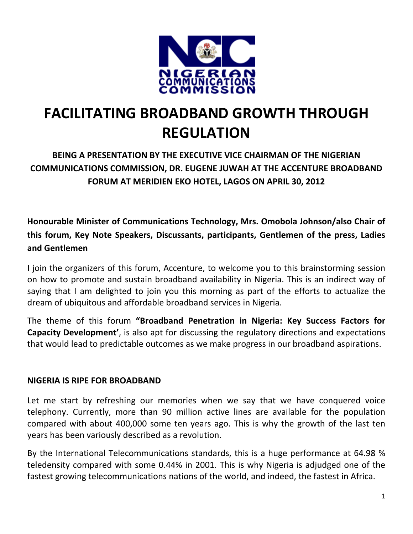

# **FACILITATING BROADBAND GROWTH THROUGH REGULATION**

**BEING A PRESENTATION BY THE EXECUTIVE VICE CHAIRMAN OF THE NIGERIAN COMMUNICATIONS COMMISSION, DR. EUGENE JUWAH AT THE ACCENTURE BROADBAND FORUM AT MERIDIEN EKO HOTEL, LAGOS ON APRIL 30, 2012**

**Honourable Minister of Communications Technology, Mrs. Omobola Johnson/also Chair of this forum, Key Note Speakers, Discussants, participants, Gentlemen of the press, Ladies and Gentlemen**

I join the organizers of this forum, Accenture, to welcome you to this brainstorming session on how to promote and sustain broadband availability in Nigeria. This is an indirect way of saying that I am delighted to join you this morning as part of the efforts to actualize the dream of ubiquitous and affordable broadband services in Nigeria.

The theme of this forum **"Broadband Penetration in Nigeria: Key Success Factors for Capacity Development'**, is also apt for discussing the regulatory directions and expectations that would lead to predictable outcomes as we make progress in our broadband aspirations.

#### **NIGERIA IS RIPE FOR BROADBAND**

Let me start by refreshing our memories when we say that we have conquered voice telephony. Currently, more than 90 million active lines are available for the population compared with about 400,000 some ten years ago. This is why the growth of the last ten years has been variously described as a revolution.

By the International Telecommunications standards, this is a huge performance at 64.98 % teledensity compared with some 0.44% in 2001. This is why Nigeria is adjudged one of the fastest growing telecommunications nations of the world, and indeed, the fastest in Africa.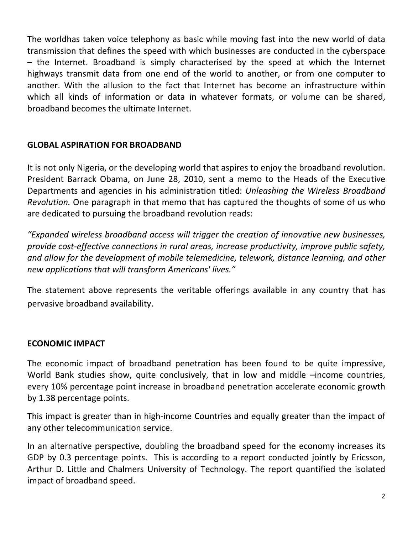The worldhas taken voice telephony as basic while moving fast into the new world of data transmission that defines the speed with which businesses are conducted in the cyberspace – the Internet. Broadband is simply characterised by the speed at which the Internet highways transmit data from one end of the world to another, or from one computer to another. With the allusion to the fact that Internet has become an infrastructure within which all kinds of information or data in whatever formats, or volume can be shared, broadband becomes the ultimate Internet.

### **GLOBAL ASPIRATION FOR BROADBAND**

It is not only Nigeria, or the developing world that aspires to enjoy the broadband revolution. President Barrack Obama, on June 28, 2010, sent a memo to the Heads of the Executive Departments and agencies in his administration titled: *Unleashing the Wireless Broadband Revolution.* One paragraph in that memo that has captured the thoughts of some of us who are dedicated to pursuing the broadband revolution reads:

*"Expanded wireless broadband access will trigger the creation of innovative new businesses, provide cost‐effective connections in rural areas, increase productivity, improve public safety, and allow for the development of mobile telemedicine, telework, distance learning, and other new applications that will transform Americans' lives."*

The statement above represents the veritable offerings available in any country that has pervasive broadband availability.

## **ECONOMIC IMPACT**

The economic impact of broadband penetration has been found to be quite impressive, World Bank studies show, quite conclusively, that in low and middle -income countries, every 10% percentage point increase in broadband penetration accelerate economic growth by 1.38 percentage points.

This impact is greater than in high‐income Countries and equally greater than the impact of any other telecommunication service.

In an alternative perspective, doubling the broadband speed for the economy increases its GDP by 0.3 percentage points. This is according to a report conducted jointly by Ericsson, Arthur D. Little and Chalmers University of Technology. The report quantified the isolated impact of broadband speed.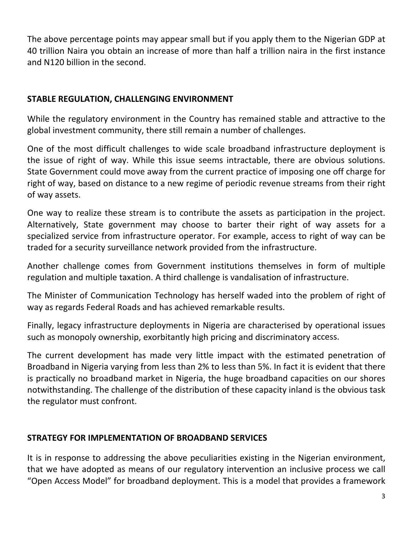The above percentage points may appear small but if you apply them to the Nigerian GDP at 40 trillion Naira you obtain an increase of more than half a trillion naira in the first instance and N120 billion in the second.

## **STABLE REGULATION, CHALLENGING ENVIRONMENT**

While the regulatory environment in the Country has remained stable and attractive to the global investment community, there still remain a number of challenges.

One of the most difficult challenges to wide scale broadband infrastructure deployment is the issue of right of way. While this issue seems intractable, there are obvious solutions. State Government could move away from the current practice of imposing one off charge for right of way, based on distance to a new regime of periodic revenue streams from their right of way assets.

One way to realize these stream is to contribute the assets as participation in the project. Alternatively, State government may choose to barter their right of way assets for a specialized service from infrastructure operator. For example, access to right of way can be traded for a security surveillance network provided from the infrastructure.

Another challenge comes from Government institutions themselves in form of multiple regulation and multiple taxation. A third challenge is vandalisation of infrastructure.

The Minister of Communication Technology has herself waded into the problem of right of way as regards Federal Roads and has achieved remarkable results.

Finally, legacy infrastructure deployments in Nigeria are characterised by operational issues such as monopoly ownership, exorbitantly high pricing and discriminatory access.

The current development has made very little impact with the estimated penetration of Broadband in Nigeria varying from less than 2% to less than 5%. In fact it is evident that there is practically no broadband market in Nigeria, the huge broadband capacities on our shores notwithstanding. The challenge of the distribution of these capacity inland is the obvious task the regulator must confront.

#### **STRATEGY FOR IMPLEMENTATION OF BROADBAND SERVICES**

It is in response to addressing the above peculiarities existing in the Nigerian environment, that we have adopted as means of our regulatory intervention an inclusive process we call "Open Access Model" for broadband deployment. This is a model that provides a framework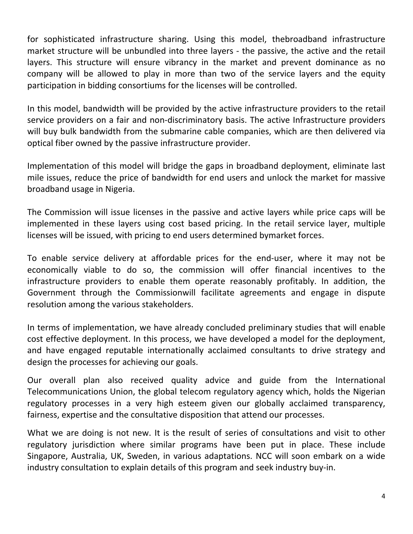for sophisticated infrastructure sharing. Using this model, thebroadband infrastructure market structure will be unbundled into three layers - the passive, the active and the retail layers. This structure will ensure vibrancy in the market and prevent dominance as no company will be allowed to play in more than two of the service layers and the equity participation in bidding consortiums for the licenses will be controlled.

In this model, bandwidth will be provided by the active infrastructure providers to the retail service providers on a fair and non-discriminatory basis. The active Infrastructure providers will buy bulk bandwidth from the submarine cable companies, which are then delivered via optical fiber owned by the passive infrastructure provider.

Implementation of this model will bridge the gaps in broadband deployment, eliminate last mile issues, reduce the price of bandwidth for end users and unlock the market for massive broadband usage in Nigeria.

The Commission will issue licenses in the passive and active layers while price caps will be implemented in these layers using cost based pricing. In the retail service layer, multiple licenses will be issued, with pricing to end users determined bymarket forces.

To enable service delivery at affordable prices for the end‐user, where it may not be economically viable to do so, the commission will offer financial incentives to the infrastructure providers to enable them operate reasonably profitably. In addition, the Government through the Commissionwill facilitate agreements and engage in dispute resolution among the various stakeholders.

In terms of implementation, we have already concluded preliminary studies that will enable cost effective deployment. In this process, we have developed a model for the deployment, and have engaged reputable internationally acclaimed consultants to drive strategy and design the processes for achieving our goals.

Our overall plan also received quality advice and guide from the International Telecommunications Union, the global telecom regulatory agency which, holds the Nigerian regulatory processes in a very high esteem given our globally acclaimed transparency, fairness, expertise and the consultative disposition that attend our processes.

What we are doing is not new. It is the result of series of consultations and visit to other regulatory jurisdiction where similar programs have been put in place. These include Singapore, Australia, UK, Sweden, in various adaptations. NCC will soon embark on a wide industry consultation to explain details of this program and seek industry buy‐in.